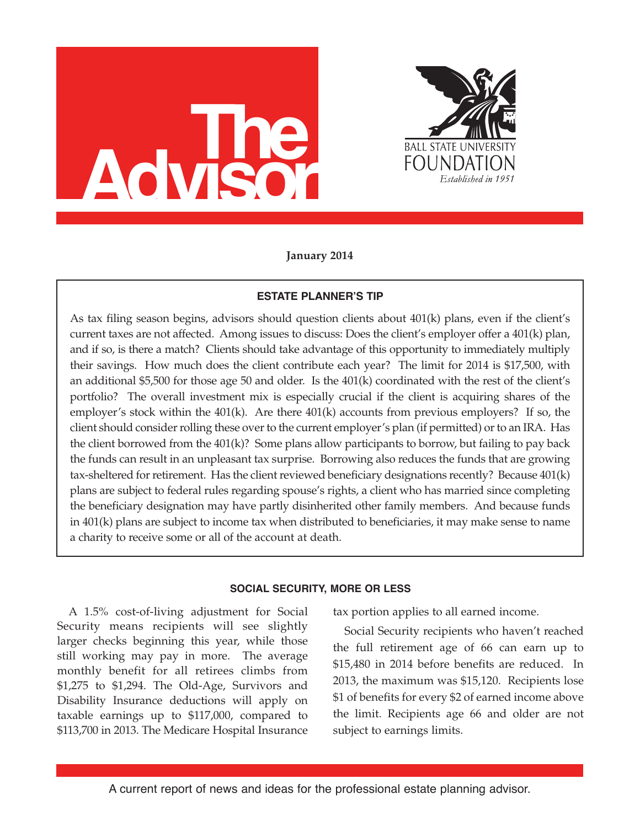



**January 2014**

# **ESTATE PLANNER'S TIP**

As tax filing season begins, advisors should question clients about 401(k) plans, even if the client's current taxes are not affected. Among issues to discuss: Does the client's employer offer a 401(k) plan, and if so, is there a match? Clients should take advantage of this opportunity to immediately multiply their savings. How much does the client contribute each year? The limit for 2014 is \$17,500, with an additional \$5,500 for those age 50 and older. Is the 401(k) coordinated with the rest of the client's portfolio? The overall investment mix is especially crucial if the client is acquiring shares of the employer's stock within the  $401(k)$ . Are there  $401(k)$  accounts from previous employers? If so, the client should consider rolling these over to the current employer's plan (if permitted) or to an IRA. Has the client borrowed from the 401(k)? Some plans allow participants to borrow, but failing to pay back the funds can result in an unpleasant tax surprise. Borrowing also reduces the funds that are growing tax-sheltered for retirement. Has the client reviewed beneficiary designations recently? Because 401(k) plans are subject to federal rules regarding spouse's rights, a client who has married since completing the beneficiary designation may have partly disinherited other family members. And because funds in 401(k) plans are subject to income tax when distributed to beneficiaries, it may make sense to name a charity to receive some or all of the account at death.

# **SOCIAL SECURITY, MORE OR LESS**

A 1.5% cost-of-living adjustment for Social Security means recipients will see slightly larger checks beginning this year, while those still working may pay in more. The average monthly benefit for all retirees climbs from \$1,275 to \$1,294. The Old-Age, Survivors and Disability Insurance deductions will apply on taxable earnings up to \$117,000, compared to \$113,700 in 2013. The Medicare Hospital Insurance

tax portion applies to all earned income.

Social Security recipients who haven't reached the full retirement age of 66 can earn up to \$15,480 in 2014 before benefits are reduced. In 2013, the maximum was \$15,120. Recipients lose \$1 of benefits for every \$2 of earned income above the limit. Recipients age 66 and older are not subject to earnings limits.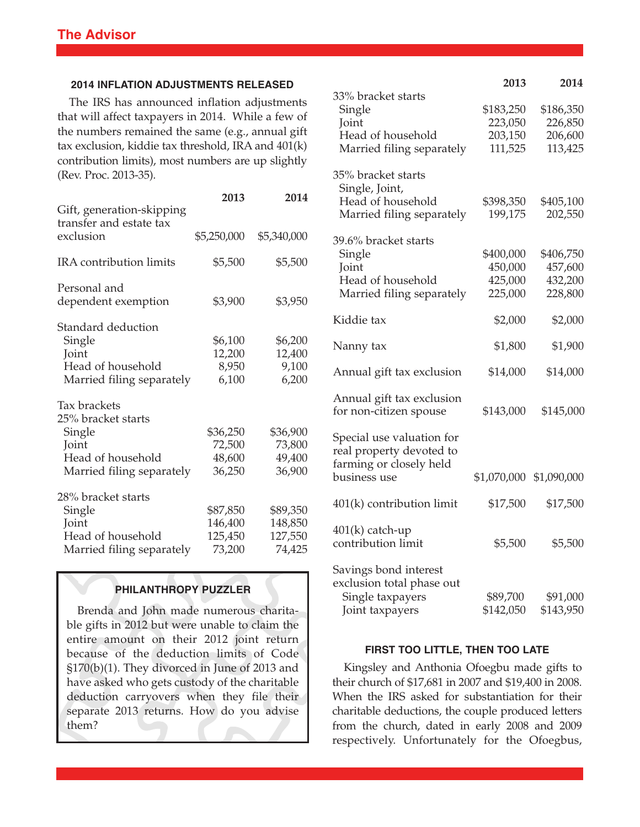## **2014 INFLATION ADJUSTMENTS RELEASED**

The IRS has announced inflation adjustments that will affect taxpayers in 2014. While a few of the numbers remained the same (e.g., annual gift tax exclusion, kiddie tax threshold, IRA and 401(k) contribution limits), most numbers are up slightly (Rev. Proc. 2013-35).

|                                                                                                         | 2013                                     | 2014                                     |
|---------------------------------------------------------------------------------------------------------|------------------------------------------|------------------------------------------|
| Gift, generation-skipping<br>transfer and estate tax<br>exclusion                                       | \$5,250,000                              | \$5,340,000                              |
| IRA contribution limits                                                                                 | \$5,500                                  | \$5,500                                  |
| Personal and<br>dependent exemption                                                                     | \$3,900                                  | \$3,950                                  |
| Standard deduction<br>Single<br>Joint<br>Head of household<br>Married filing separately                 | \$6,100<br>12,200<br>8,950<br>6,100      | \$6,200<br>12,400<br>9,100<br>6,200      |
| Tax brackets<br>25% bracket starts<br>Single<br>Joint<br>Head of household<br>Married filing separately | \$36,250<br>72,500<br>48,600<br>36,250   | \$36,900<br>73,800<br>49,400<br>36,900   |
| 28% bracket starts<br>Single<br>Joint<br>Head of household<br>Married filing separately                 | \$87,850<br>146,400<br>125,450<br>73,200 | \$89,350<br>148,850<br>127,550<br>74,425 |

# **PHILANTHROPY PUZZLER**

Brenda and John made numerous charitable gifts in 2012 but were unable to claim the entire amount on their 2012 joint return because of the deduction limits of Code §170(b)(1). They divorced in June of 2013 and have asked who gets custody of the charitable deduction carryovers when they file their separate 2013 returns. How do you advise them?

|                                                                                                  | 2013                                       | 2014                                       |
|--------------------------------------------------------------------------------------------------|--------------------------------------------|--------------------------------------------|
| 33% bracket starts<br>Single<br>Joint<br>Head of household<br>Married filing separately          | \$183,250<br>223,050<br>203,150<br>111,525 | \$186,350<br>226,850<br>206,600<br>113,425 |
| 35% bracket starts<br>Single, Joint,<br>Head of household<br>Married filing separately           | \$398,350<br>199,175                       | \$405,100<br>202,550                       |
| 39.6% bracket starts<br>Single<br>Joint<br>Head of household<br>Married filing separately        | \$400,000<br>450,000<br>425,000<br>225,000 | \$406,750<br>457,600<br>432,200<br>228,800 |
| Kiddie tax                                                                                       | \$2,000                                    | \$2,000                                    |
| Nanny tax                                                                                        | \$1,800                                    | \$1,900                                    |
| Annual gift tax exclusion                                                                        | \$14,000                                   | \$14,000                                   |
| Annual gift tax exclusion<br>for non-citizen spouse                                              | \$143,000                                  | \$145,000                                  |
| Special use valuation for<br>real property devoted to<br>farming or closely held<br>business use | \$1,070,000                                | \$1,090,000                                |
| $401(k)$ contribution limit                                                                      | \$17,500                                   | \$17,500                                   |
| $401(k)$ catch-up<br>contribution limit                                                          | \$5,500                                    | \$5,500                                    |
| Savings bond interest<br>exclusion total phase out<br>Single taxpayers<br>Joint taxpayers        | \$89,700<br>\$142,050                      | \$91,000<br>\$143,950                      |

### **FIRST TOO LITTLE, THEN TOO LATE**

Kingsley and Anthonia Ofoegbu made gifts to their church of \$17,681 in 2007 and \$19,400 in 2008. When the IRS asked for substantiation for their charitable deductions, the couple produced letters from the church, dated in early 2008 and 2009 respectively. Unfortunately for the Ofoegbus,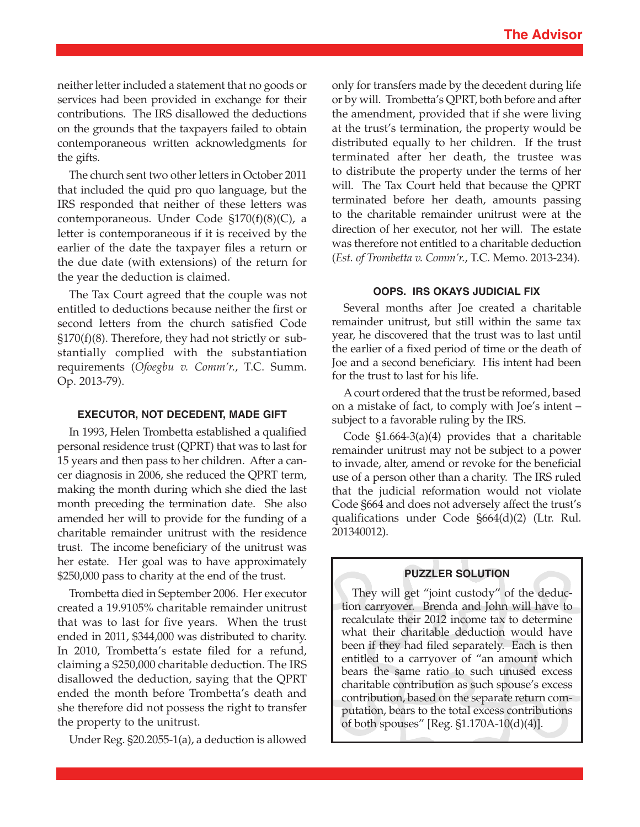neither letter included a statement that no goods or services had been provided in exchange for their contributions. The IRS disallowed the deductions on the grounds that the taxpayers failed to obtain contemporaneous written acknowledgments for the gifts.

The church sent two other letters in October 2011 that included the quid pro quo language, but the IRS responded that neither of these letters was contemporaneous. Under Code §170(f)(8)(C), a letter is contemporaneous if it is received by the earlier of the date the taxpayer files a return or the due date (with extensions) of the return for the year the deduction is claimed.

The Tax Court agreed that the couple was not entitled to deductions because neither the first or second letters from the church satisfied Code §170(f)(8). Therefore, they had not strictly or substantially complied with the substantiation requirements (*Ofoegbu v. Comm'r.*, T.C. Summ. Op. 2013-79).

### **EXECUTOR, NOT DECEDENT, MADE GIFT**

In 1993, Helen Trombetta established a qualified personal residence trust (QPRT) that was to last for 15 years and then pass to her children. After a cancer diagnosis in 2006, she reduced the QPRT term, making the month during which she died the last month preceding the termination date. She also amended her will to provide for the funding of a charitable remainder unitrust with the residence trust. The income beneficiary of the unitrust was her estate. Her goal was to have approximately \$250,000 pass to charity at the end of the trust.

Trombetta died in September 2006. Her executor created a 19.9105% charitable remainder unitrust that was to last for five years. When the trust ended in 2011, \$344,000 was distributed to charity. In 2010, Trombetta's estate filed for a refund, claiming a \$250,000 charitable deduction. The IRS disallowed the deduction, saying that the QPRT ended the month before Trombetta's death and she therefore did not possess the right to transfer the property to the unitrust.

Under Reg. §20.2055-1(a), a deduction is allowed

only for transfers made by the decedent during life or by will. Trombetta's QPRT, both before and after the amendment, provided that if she were living at the trust's termination, the property would be distributed equally to her children. If the trust terminated after her death, the trustee was to distribute the property under the terms of her will. The Tax Court held that because the QPRT terminated before her death, amounts passing to the charitable remainder unitrust were at the direction of her executor, not her will. The estate was therefore not entitled to a charitable deduction (*Est. of Trombetta v. Comm'r.*, T.C. Memo. 2013-234).

#### **OOPS. IRS OKAYS JUDICIAL FIX**

Several months after Joe created a charitable remainder unitrust, but still within the same tax year, he discovered that the trust was to last until the earlier of a fixed period of time or the death of Joe and a second beneficiary. His intent had been for the trust to last for his life.

Acourt ordered that the trust be reformed, based on a mistake of fact, to comply with Joe's intent – subject to a favorable ruling by the IRS.

Code §1.664-3(a)(4) provides that a charitable remainder unitrust may not be subject to a power to invade, alter, amend or revoke for the beneficial use of a person other than a charity. The IRS ruled that the judicial reformation would not violate Code §664 and does not adversely affect the trust's qualifications under Code §664(d)(2) (Ltr. Rul. 201340012).

# **PUZZLER SOLUTION**

They will get "joint custody" of the deduction carryover. Brenda and John will have to recalculate their 2012 income tax to determine what their charitable deduction would have been if they had filed separately. Each is then entitled to a carryover of "an amount which bears the same ratio to such unused excess charitable contribution as such spouse's excess contribution, based on the separate return computation, bears to the total excess contributions of both spouses" [Reg. §1.170A-10(d)(4)].